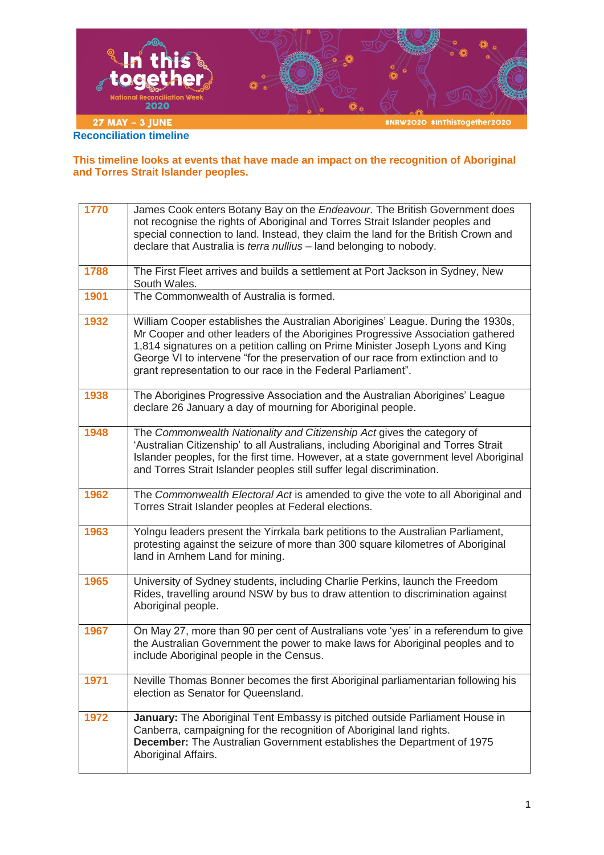

**This timeline looks at events that have made an impact on the recognition of Aboriginal and Torres Strait Islander peoples.**

| 1770 | James Cook enters Botany Bay on the Endeavour. The British Government does<br>not recognise the rights of Aboriginal and Torres Strait Islander peoples and<br>special connection to land. Instead, they claim the land for the British Crown and<br>declare that Australia is terra nullius - land belonging to nobody.                                                                               |
|------|--------------------------------------------------------------------------------------------------------------------------------------------------------------------------------------------------------------------------------------------------------------------------------------------------------------------------------------------------------------------------------------------------------|
| 1788 | The First Fleet arrives and builds a settlement at Port Jackson in Sydney, New<br>South Wales.                                                                                                                                                                                                                                                                                                         |
| 1901 | The Commonwealth of Australia is formed.                                                                                                                                                                                                                                                                                                                                                               |
| 1932 | William Cooper establishes the Australian Aborigines' League. During the 1930s,<br>Mr Cooper and other leaders of the Aborigines Progressive Association gathered<br>1,814 signatures on a petition calling on Prime Minister Joseph Lyons and King<br>George VI to intervene "for the preservation of our race from extinction and to<br>grant representation to our race in the Federal Parliament". |
| 1938 | The Aborigines Progressive Association and the Australian Aborigines' League<br>declare 26 January a day of mourning for Aboriginal people.                                                                                                                                                                                                                                                            |
| 1948 | The Commonwealth Nationality and Citizenship Act gives the category of<br>'Australian Citizenship' to all Australians, including Aboriginal and Torres Strait<br>Islander peoples, for the first time. However, at a state government level Aboriginal<br>and Torres Strait Islander peoples still suffer legal discrimination.                                                                        |
| 1962 | The Commonwealth Electoral Act is amended to give the vote to all Aboriginal and<br>Torres Strait Islander peoples at Federal elections.                                                                                                                                                                                                                                                               |
| 1963 | Yolngu leaders present the Yirrkala bark petitions to the Australian Parliament,<br>protesting against the seizure of more than 300 square kilometres of Aboriginal<br>land in Arnhem Land for mining.                                                                                                                                                                                                 |
| 1965 | University of Sydney students, including Charlie Perkins, launch the Freedom<br>Rides, travelling around NSW by bus to draw attention to discrimination against<br>Aboriginal people.                                                                                                                                                                                                                  |
| 1967 | On May 27, more than 90 per cent of Australians vote 'yes' in a referendum to give<br>the Australian Government the power to make laws for Aboriginal peoples and to<br>include Aboriginal people in the Census.                                                                                                                                                                                       |
| 1971 | Neville Thomas Bonner becomes the first Aboriginal parliamentarian following his<br>election as Senator for Queensland.                                                                                                                                                                                                                                                                                |
| 1972 | January: The Aboriginal Tent Embassy is pitched outside Parliament House in<br>Canberra, campaigning for the recognition of Aboriginal land rights.<br><b>December:</b> The Australian Government establishes the Department of 1975<br>Aboriginal Affairs.                                                                                                                                            |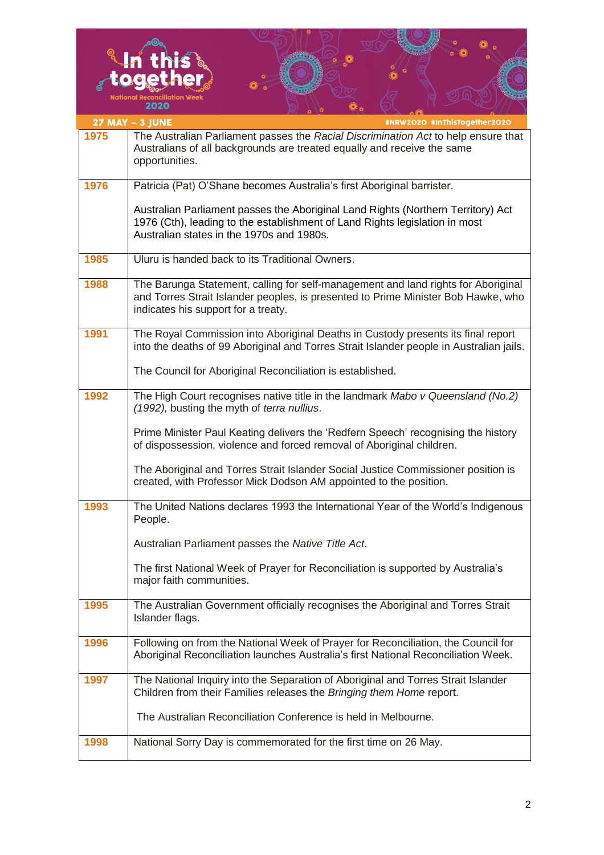|      | onal Reconciliation Wee<br>2020                                                                                                                                                                               |
|------|---------------------------------------------------------------------------------------------------------------------------------------------------------------------------------------------------------------|
|      | #NRW2O2O #InThisTogether2O2O<br>27 MAY - 3 JUNE                                                                                                                                                               |
| 1975 | The Australian Parliament passes the Racial Discrimination Act to help ensure that<br>Australians of all backgrounds are treated equally and receive the same<br>opportunities.                               |
| 1976 | Patricia (Pat) O'Shane becomes Australia's first Aboriginal barrister.                                                                                                                                        |
|      | Australian Parliament passes the Aboriginal Land Rights (Northern Territory) Act<br>1976 (Cth), leading to the establishment of Land Rights legislation in most<br>Australian states in the 1970s and 1980s.  |
| 1985 | Uluru is handed back to its Traditional Owners.                                                                                                                                                               |
| 1988 | The Barunga Statement, calling for self-management and land rights for Aboriginal<br>and Torres Strait Islander peoples, is presented to Prime Minister Bob Hawke, who<br>indicates his support for a treaty. |
| 1991 | The Royal Commission into Aboriginal Deaths in Custody presents its final report<br>into the deaths of 99 Aboriginal and Torres Strait Islander people in Australian jails.                                   |
|      | The Council for Aboriginal Reconciliation is established.                                                                                                                                                     |
| 1992 | The High Court recognises native title in the landmark Mabo v Queensland (No.2)<br>(1992), busting the myth of terra nullius.                                                                                 |
|      | Prime Minister Paul Keating delivers the 'Redfern Speech' recognising the history<br>of dispossession, violence and forced removal of Aboriginal children.                                                    |
|      | The Aboriginal and Torres Strait Islander Social Justice Commissioner position is<br>created, with Professor Mick Dodson AM appointed to the position.                                                        |
| 1993 | The United Nations declares 1993 the International Year of the World's Indigenous<br>People.                                                                                                                  |
|      | Australian Parliament passes the Native Title Act.                                                                                                                                                            |
|      | The first National Week of Prayer for Reconciliation is supported by Australia's<br>major faith communities.                                                                                                  |
| 1995 | The Australian Government officially recognises the Aboriginal and Torres Strait<br>Islander flags.                                                                                                           |
| 1996 | Following on from the National Week of Prayer for Reconciliation, the Council for<br>Aboriginal Reconciliation launches Australia's first National Reconciliation Week.                                       |
| 1997 | The National Inquiry into the Separation of Aboriginal and Torres Strait Islander<br>Children from their Families releases the Bringing them Home report.                                                     |
|      | The Australian Reconciliation Conference is held in Melbourne.                                                                                                                                                |
| 1998 | National Sorry Day is commemorated for the first time on 26 May.                                                                                                                                              |

ക

**DEALER** 

删期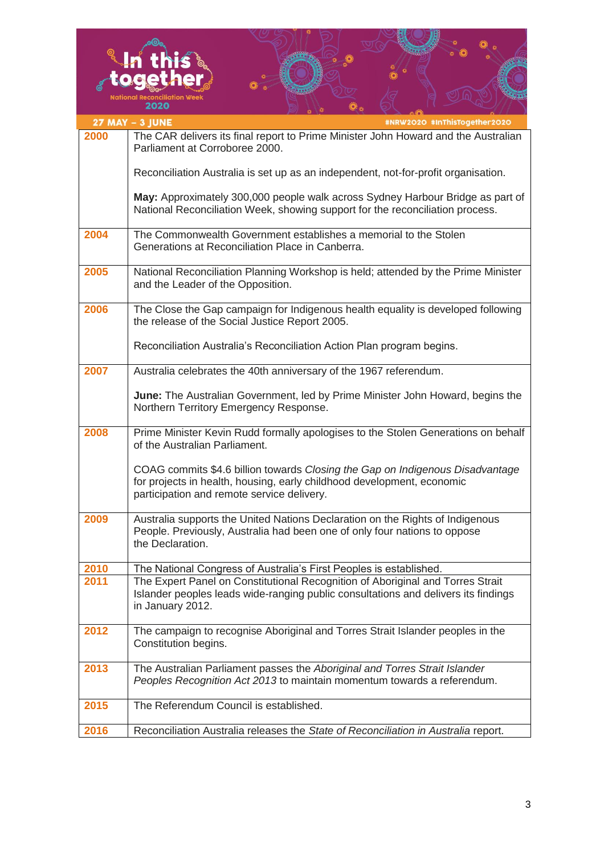|      | 2020                                                                                                                                                                                                  |
|------|-------------------------------------------------------------------------------------------------------------------------------------------------------------------------------------------------------|
|      | 27 MAY - 3 JUNE<br>#NRW2O2O #InThisTogether2O2O                                                                                                                                                       |
| 2000 | The CAR delivers its final report to Prime Minister John Howard and the Australian<br>Parliament at Corroboree 2000.                                                                                  |
|      | Reconciliation Australia is set up as an independent, not-for-profit organisation.                                                                                                                    |
|      | May: Approximately 300,000 people walk across Sydney Harbour Bridge as part of<br>National Reconciliation Week, showing support for the reconciliation process.                                       |
| 2004 | The Commonwealth Government establishes a memorial to the Stolen<br>Generations at Reconciliation Place in Canberra.                                                                                  |
| 2005 | National Reconciliation Planning Workshop is held; attended by the Prime Minister<br>and the Leader of the Opposition.                                                                                |
| 2006 | The Close the Gap campaign for Indigenous health equality is developed following<br>the release of the Social Justice Report 2005.                                                                    |
|      | Reconciliation Australia's Reconciliation Action Plan program begins.                                                                                                                                 |
| 2007 | Australia celebrates the 40th anniversary of the 1967 referendum.                                                                                                                                     |
|      | <b>June:</b> The Australian Government, led by Prime Minister John Howard, begins the<br>Northern Territory Emergency Response.                                                                       |
| 2008 | Prime Minister Kevin Rudd formally apologises to the Stolen Generations on behalf<br>of the Australian Parliament.                                                                                    |
|      | COAG commits \$4.6 billion towards Closing the Gap on Indigenous Disadvantage<br>for projects in health, housing, early childhood development, economic<br>participation and remote service delivery. |
| 2009 | Australia supports the United Nations Declaration on the Rights of Indigenous<br>People. Previously, Australia had been one of only four nations to oppose<br>the Declaration.                        |
| 2010 | The National Congress of Australia's First Peoples is established.                                                                                                                                    |
| 2011 | The Expert Panel on Constitutional Recognition of Aboriginal and Torres Strait<br>Islander peoples leads wide-ranging public consultations and delivers its findings<br>in January 2012.              |
| 2012 | The campaign to recognise Aboriginal and Torres Strait Islander peoples in the<br>Constitution begins.                                                                                                |
| 2013 | The Australian Parliament passes the Aboriginal and Torres Strait Islander<br>Peoples Recognition Act 2013 to maintain momentum towards a referendum.                                                 |
| 2015 | The Referendum Council is established.                                                                                                                                                                |
| 2016 | Reconciliation Australia releases the State of Reconciliation in Australia report.                                                                                                                    |

**VIII. CONTRACTOR**